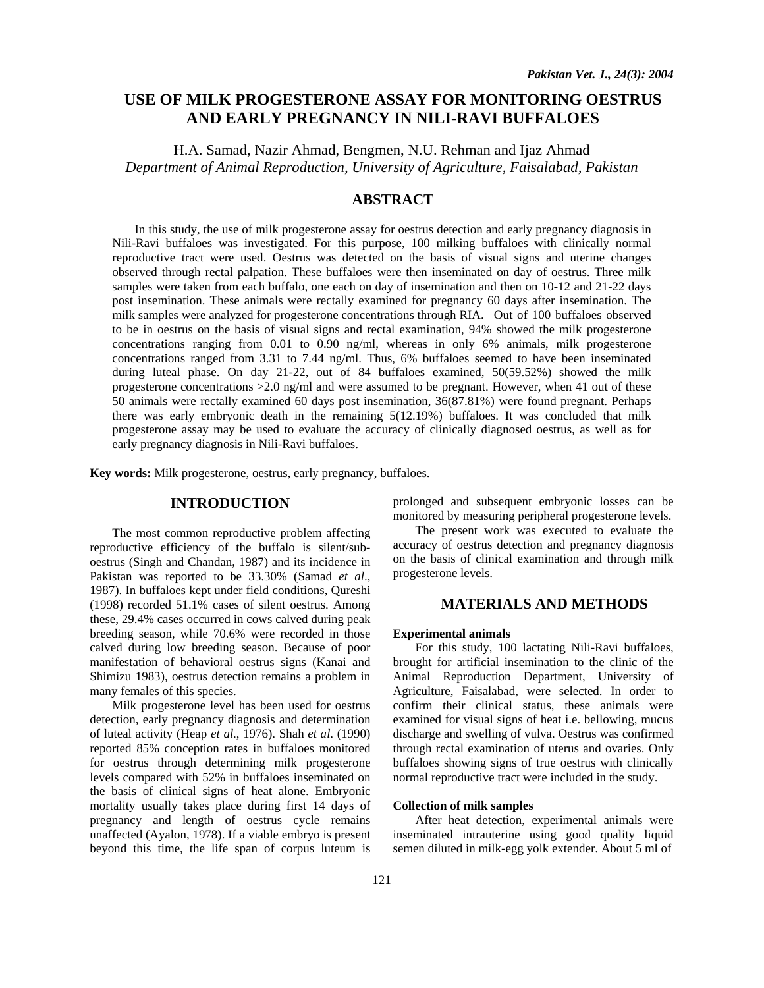# **USE OF MILK PROGESTERONE ASSAY FOR MONITORING OESTRUS AND EARLY PREGNANCY IN NILI-RAVI BUFFALOES**

H.A. Samad, Nazir Ahmad, Bengmen, N.U. Rehman and Ijaz Ahmad *Department of Animal Reproduction, University of Agriculture, Faisalabad, Pakistan* 

# **ABSTRACT**

 In this study, the use of milk progesterone assay for oestrus detection and early pregnancy diagnosis in Nili-Ravi buffaloes was investigated. For this purpose, 100 milking buffaloes with clinically normal reproductive tract were used. Oestrus was detected on the basis of visual signs and uterine changes observed through rectal palpation. These buffaloes were then inseminated on day of oestrus. Three milk samples were taken from each buffalo, one each on day of insemination and then on 10-12 and 21-22 days post insemination. These animals were rectally examined for pregnancy 60 days after insemination. The milk samples were analyzed for progesterone concentrations through RIA. Out of 100 buffaloes observed to be in oestrus on the basis of visual signs and rectal examination, 94% showed the milk progesterone concentrations ranging from 0.01 to 0.90 ng/ml, whereas in only 6% animals, milk progesterone concentrations ranged from 3.31 to 7.44 ng/ml. Thus, 6% buffaloes seemed to have been inseminated during luteal phase. On day 21-22, out of 84 buffaloes examined, 50(59.52%) showed the milk progesterone concentrations  $>2.0$  ng/ml and were assumed to be pregnant. However, when 41 out of these 50 animals were rectally examined 60 days post insemination, 36(87.81%) were found pregnant. Perhaps there was early embryonic death in the remaining 5(12.19%) buffaloes. It was concluded that milk progesterone assay may be used to evaluate the accuracy of clinically diagnosed oestrus, as well as for early pregnancy diagnosis in Nili-Ravi buffaloes.

**Key words:** Milk progesterone, oestrus, early pregnancy, buffaloes.

## **INTRODUCTION**

The most common reproductive problem affecting reproductive efficiency of the buffalo is silent/suboestrus (Singh and Chandan, 1987) and its incidence in Pakistan was reported to be 33.30% (Samad *et al*., 1987). In buffaloes kept under field conditions, Qureshi (1998) recorded 51.1% cases of silent oestrus. Among these, 29.4% cases occurred in cows calved during peak breeding season, while 70.6% were recorded in those calved during low breeding season. Because of poor manifestation of behavioral oestrus signs (Kanai and Shimizu 1983), oestrus detection remains a problem in many females of this species.

Milk progesterone level has been used for oestrus detection, early pregnancy diagnosis and determination of luteal activity (Heap *et al*., 1976). Shah *et al*. (1990) reported 85% conception rates in buffaloes monitored for oestrus through determining milk progesterone levels compared with 52% in buffaloes inseminated on the basis of clinical signs of heat alone. Embryonic mortality usually takes place during first 14 days of pregnancy and length of oestrus cycle remains unaffected (Ayalon, 1978). If a viable embryo is present beyond this time, the life span of corpus luteum is

prolonged and subsequent embryonic losses can be monitored by measuring peripheral progesterone levels.

The present work was executed to evaluate the accuracy of oestrus detection and pregnancy diagnosis on the basis of clinical examination and through milk progesterone levels.

### **MATERIALS AND METHODS**

#### **Experimental animals**

For this study, 100 lactating Nili-Ravi buffaloes, brought for artificial insemination to the clinic of the Animal Reproduction Department, University of Agriculture, Faisalabad, were selected. In order to confirm their clinical status, these animals were examined for visual signs of heat i.e. bellowing, mucus discharge and swelling of vulva. Oestrus was confirmed through rectal examination of uterus and ovaries. Only buffaloes showing signs of true oestrus with clinically normal reproductive tract were included in the study.

#### **Collection of milk samples**

After heat detection, experimental animals were inseminated intrauterine using good quality liquid semen diluted in milk-egg yolk extender. About 5 ml of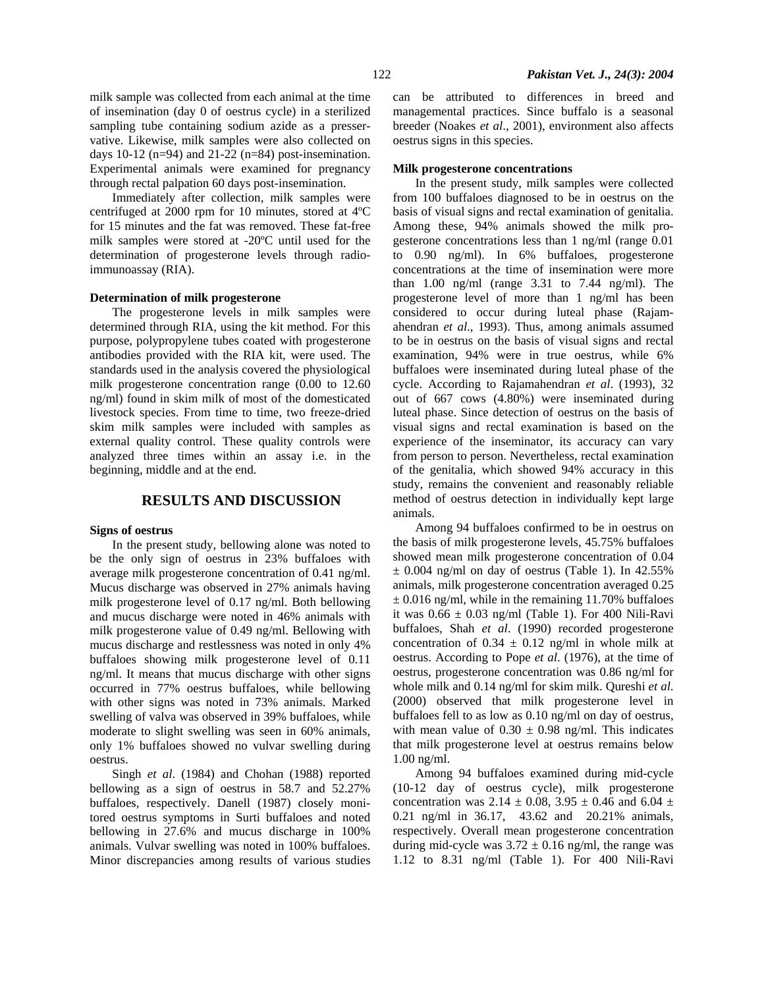milk sample was collected from each animal at the time of insemination (day 0 of oestrus cycle) in a sterilized sampling tube containing sodium azide as a presservative. Likewise, milk samples were also collected on days 10-12 (n=94) and 21-22 (n=84) post-insemination. Experimental animals were examined for pregnancy through rectal palpation 60 days post-insemination.

Immediately after collection, milk samples were centrifuged at 2000 rpm for 10 minutes, stored at 4ºC for 15 minutes and the fat was removed. These fat-free milk samples were stored at -20ºC until used for the determination of progesterone levels through radioimmunoassay (RIA).

#### **Determination of milk progesterone**

The progesterone levels in milk samples were determined through RIA, using the kit method. For this purpose, polypropylene tubes coated with progesterone antibodies provided with the RIA kit, were used. The standards used in the analysis covered the physiological milk progesterone concentration range (0.00 to 12.60 ng/ml) found in skim milk of most of the domesticated livestock species. From time to time, two freeze-dried skim milk samples were included with samples as external quality control. These quality controls were analyzed three times within an assay i.e. in the beginning, middle and at the end.

### **RESULTS AND DISCUSSION**

#### **Signs of oestrus**

In the present study, bellowing alone was noted to be the only sign of oestrus in 23% buffaloes with average milk progesterone concentration of 0.41 ng/ml. Mucus discharge was observed in 27% animals having milk progesterone level of 0.17 ng/ml. Both bellowing and mucus discharge were noted in 46% animals with milk progesterone value of 0.49 ng/ml. Bellowing with mucus discharge and restlessness was noted in only 4% buffaloes showing milk progesterone level of 0.11 ng/ml. It means that mucus discharge with other signs occurred in 77% oestrus buffaloes, while bellowing with other signs was noted in 73% animals. Marked swelling of valva was observed in 39% buffaloes, while moderate to slight swelling was seen in 60% animals, only 1% buffaloes showed no vulvar swelling during oestrus.

Singh *et al*. (1984) and Chohan (1988) reported bellowing as a sign of oestrus in 58.7 and 52.27% buffaloes, respectively. Danell (1987) closely monitored oestrus symptoms in Surti buffaloes and noted bellowing in 27.6% and mucus discharge in 100% animals. Vulvar swelling was noted in 100% buffaloes. Minor discrepancies among results of various studies

122 *Pakistan Vet. J., 24(3): 2004* 

can be attributed to differences in breed and managemental practices. Since buffalo is a seasonal breeder (Noakes *et al*., 2001), environment also affects oestrus signs in this species.

#### **Milk progesterone concentrations**

In the present study, milk samples were collected from 100 buffaloes diagnosed to be in oestrus on the basis of visual signs and rectal examination of genitalia. Among these, 94% animals showed the milk progesterone concentrations less than 1 ng/ml (range 0.01 to 0.90 ng/ml). In 6% buffaloes, progesterone concentrations at the time of insemination were more than 1.00 ng/ml (range 3.31 to 7.44 ng/ml). The progesterone level of more than 1 ng/ml has been considered to occur during luteal phase (Rajamahendran *et al*., 1993). Thus, among animals assumed to be in oestrus on the basis of visual signs and rectal examination, 94% were in true oestrus, while 6% buffaloes were inseminated during luteal phase of the cycle. According to Rajamahendran *et al*. (1993), 32 out of 667 cows (4.80%) were inseminated during luteal phase. Since detection of oestrus on the basis of visual signs and rectal examination is based on the experience of the inseminator, its accuracy can vary from person to person. Nevertheless, rectal examination of the genitalia, which showed 94% accuracy in this study, remains the convenient and reasonably reliable method of oestrus detection in individually kept large animals.

Among 94 buffaloes confirmed to be in oestrus on the basis of milk progesterone levels, 45.75% buffaloes showed mean milk progesterone concentration of 0.04  $\pm$  0.004 ng/ml on day of oestrus (Table 1). In 42.55% animals, milk progesterone concentration averaged 0.25  $\pm$  0.016 ng/ml, while in the remaining 11.70% buffaloes it was  $0.66 \pm 0.03$  ng/ml (Table 1). For 400 Nili-Ravi buffaloes, Shah *et al*. (1990) recorded progesterone concentration of  $0.34 \pm 0.12$  ng/ml in whole milk at oestrus. According to Pope *et al*. (1976), at the time of oestrus, progesterone concentration was 0.86 ng/ml for whole milk and 0.14 ng/ml for skim milk. Qureshi *et al*. (2000) observed that milk progesterone level in buffaloes fell to as low as 0.10 ng/ml on day of oestrus, with mean value of  $0.30 \pm 0.98$  ng/ml. This indicates that milk progesterone level at oestrus remains below 1.00 ng/ml.

Among 94 buffaloes examined during mid-cycle (10-12 day of oestrus cycle), milk progesterone concentration was 2.14  $\pm$  0.08, 3.95  $\pm$  0.46 and 6.04  $\pm$ 0.21 ng/ml in 36.17, 43.62 and 20.21% animals, respectively. Overall mean progesterone concentration during mid-cycle was  $3.72 \pm 0.16$  ng/ml, the range was 1.12 to 8.31 ng/ml (Table 1). For 400 Nili-Ravi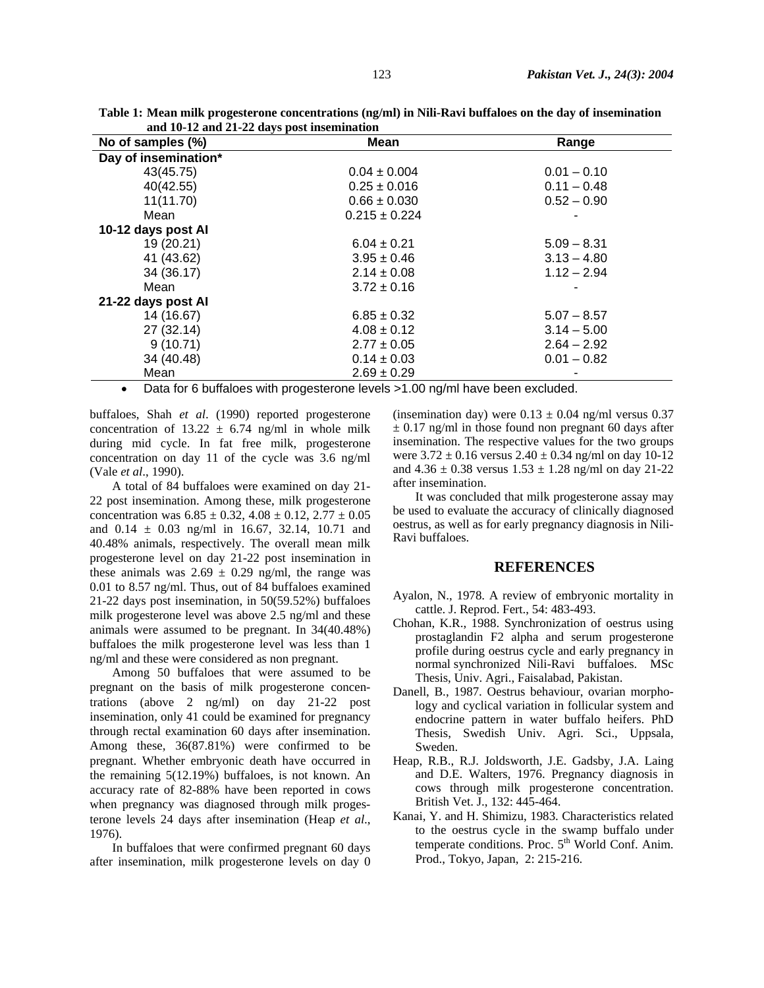| No of samples (%)                 | - J - F - -<br>Mean     | Range         |
|-----------------------------------|-------------------------|---------------|
| Day of insemination*              |                         |               |
| 43(45.75)                         | $0.04 \pm 0.004$        | $0.01 - 0.10$ |
| 40(42.55)                         | $0.25 \pm 0.016$        | $0.11 - 0.48$ |
| 11(11.70)                         | $0.66 \pm 0.030$        | $0.52 - 0.90$ |
| Mean                              | $0.215 \pm 0.224$       |               |
| 10-12 days post Al                |                         |               |
| 19 (20.21)                        | $6.04 \pm 0.21$         | $5.09 - 8.31$ |
| 41 (43.62)                        | $3.95 \pm 0.46$         | $3.13 - 4.80$ |
| 34 (36.17)                        | $2.14 \pm 0.08$         | $1.12 - 2.94$ |
| Mean                              | $3.72 \pm 0.16$         |               |
| 21-22 days post Al                |                         |               |
| 14 (16.67)                        | $6.85 \pm 0.32$         | $5.07 - 8.57$ |
| 27 (32.14)                        | $4.08 \pm 0.12$         | $3.14 - 5.00$ |
| 9(10.71)                          | $2.77 \pm 0.05$         | $2.64 - 2.92$ |
| 34 (40.48)                        | $0.14 \pm 0.03$         | $0.01 - 0.82$ |
| Mean                              | $2.69 \pm 0.29$         |               |
| — <i>— —</i> — — — — — — — —<br>. | $\cdot$ $\cdot$ $\cdot$ | .             |

**Table 1: Mean milk progesterone concentrations (ng/ml) in Nili-Ravi buffaloes on the day of insemination and 10-12 and 21-22 days post insemination** 

• Data for 6 buffaloes with progesterone levels >1.00 ng/ml have been excluded.

buffaloes, Shah *et al*. (1990) reported progesterone concentration of  $13.22 \pm 6.74$  ng/ml in whole milk during mid cycle. In fat free milk, progesterone concentration on day 11 of the cycle was 3.6 ng/ml (Vale *et al*., 1990).

A total of 84 buffaloes were examined on day 21- 22 post insemination. Among these, milk progesterone concentration was  $6.85 \pm 0.32$ ,  $4.08 \pm 0.12$ ,  $2.77 \pm 0.05$ and  $0.14 \pm 0.03$  ng/ml in 16.67, 32.14, 10.71 and 40.48% animals, respectively. The overall mean milk progesterone level on day 21-22 post insemination in these animals was  $2.69 \pm 0.29$  ng/ml, the range was 0.01 to 8.57 ng/ml. Thus, out of 84 buffaloes examined 21-22 days post insemination, in 50(59.52%) buffaloes milk progesterone level was above 2.5 ng/ml and these animals were assumed to be pregnant. In 34(40.48%) buffaloes the milk progesterone level was less than 1 ng/ml and these were considered as non pregnant.

Among 50 buffaloes that were assumed to be pregnant on the basis of milk progesterone concentrations (above 2 ng/ml) on day 21-22 post insemination, only 41 could be examined for pregnancy through rectal examination 60 days after insemination. Among these, 36(87.81%) were confirmed to be pregnant. Whether embryonic death have occurred in the remaining 5(12.19%) buffaloes, is not known. An accuracy rate of 82-88% have been reported in cows when pregnancy was diagnosed through milk progesterone levels 24 days after insemination (Heap *et al*., 1976).

In buffaloes that were confirmed pregnant 60 days after insemination, milk progesterone levels on day 0 (insemination day) were  $0.13 \pm 0.04$  ng/ml versus 0.37  $\pm$  0.17 ng/ml in those found non pregnant 60 days after insemination. The respective values for the two groups were  $3.72 \pm 0.16$  versus  $2.40 \pm 0.34$  ng/ml on day 10-12 and  $4.36 \pm 0.38$  versus  $1.53 \pm 1.28$  ng/ml on day 21-22 after insemination.

It was concluded that milk progesterone assay may be used to evaluate the accuracy of clinically diagnosed oestrus, as well as for early pregnancy diagnosis in Nili-Ravi buffaloes.

### **REFERENCES**

- Ayalon, N., 1978. A review of embryonic mortality in cattle. J. Reprod. Fert., 54: 483-493.
- Chohan, K.R., 1988. Synchronization of oestrus using prostaglandin F2 alpha and serum progesterone profile during oestrus cycle and early pregnancy in normal synchronized Nili-Ravi buffaloes. MSc Thesis, Univ. Agri., Faisalabad, Pakistan.
- Danell, B., 1987. Oestrus behaviour, ovarian morphology and cyclical variation in follicular system and endocrine pattern in water buffalo heifers. PhD Thesis, Swedish Univ. Agri. Sci., Uppsala, Sweden.
- Heap, R.B., R.J. Joldsworth, J.E. Gadsby, J.A. Laing and D.E. Walters, 1976. Pregnancy diagnosis in cows through milk progesterone concentration. British Vet. J., 132: 445-464.
- Kanai, Y. and H. Shimizu, 1983. Characteristics related to the oestrus cycle in the swamp buffalo under temperate conditions. Proc.  $5<sup>th</sup>$  World Conf. Anim. Prod., Tokyo, Japan, 2: 215-216.